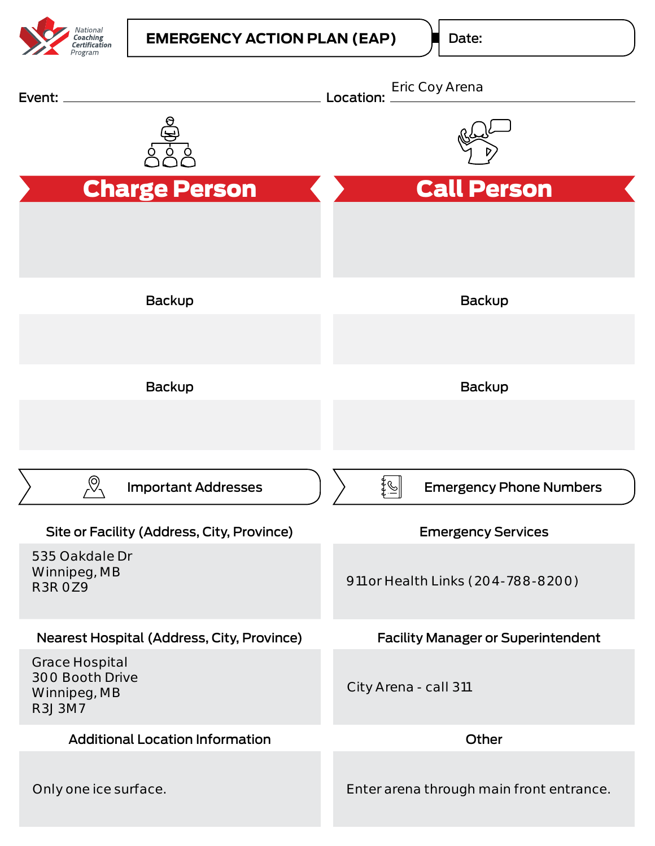

Date: